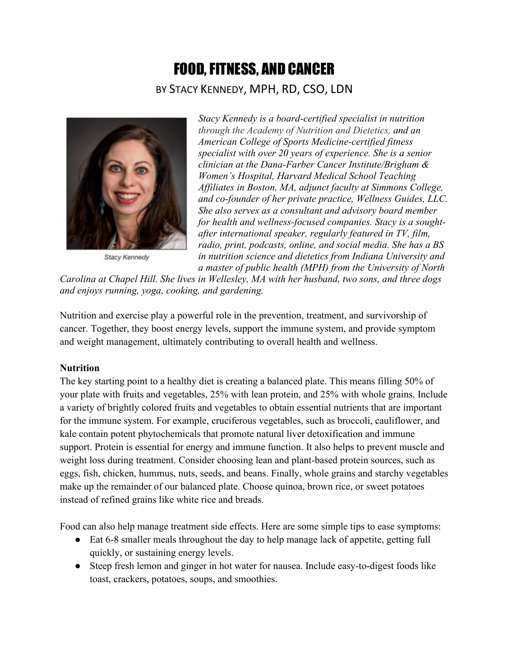# FOOD,FITNESS, AND CANCER BY STACY KENNEDY, MPH, RD, CSO, LDN



Stacy Kennedy

*Stacy Kennedy is a board-certified specialist in nutrition through the Academy of Nutrition and Dietetics, and an American College of Sports Medicine-certified fitness specialist with over 20 years of experience. She is a senior clinician at the [Dana-Farber Cancer Institute/](http://www.dana-farber.org/nutrition)Brigham & Women's Hospital, Harvard Medical School Teaching Affiliates in Boston, MA, adjunct faculty at [Simmons College,](http://www.simmons.edu/) and co-founder of her private practice, [Wellness Guides,](http://www.wellnessguides.org/) LLC. She also serves as a consultant and advisory board member for health and wellness-focused companies. Stacy is a soughtafter international speaker, regularly featured in TV, film, radio, print, podcasts, online, and social media. She has a BS in nutrition science and dietetics from Indiana University and a master of public health (MPH) from the University of North* 

*Carolina at Chapel Hill. She lives in Wellesley, MA with her husband, two sons, and three dogs and enjoys running, yoga, cooking, and gardening.*

Nutrition and exercise play a powerful role in the prevention, treatment, and survivorship of cancer. Together, they boost energy levels, support the immune system, and provide symptom and weight management, ultimately contributing to overall health and wellness.

## **Nutrition**

The key starting point to a healthy diet is creating a balanced plate. This means filling 50% of your plate with fruits and vegetables, 25% with lean protein, and 25% with whole grains. Include a variety of brightly colored fruits and vegetables to obtain essential nutrients that are important for the immune system. For example, cruciferous vegetables, such as broccoli, cauliflower, and kale contain potent phytochemicals that promote natural liver detoxification and immune support. Protein is essential for energy and immune function. It also helps to prevent muscle and weight loss during treatment. Consider choosing lean and plant-based protein sources, such as eggs, fish, chicken, hummus, nuts, seeds, and beans. Finally, whole grains and starchy vegetables make up the remainder of our balanced plate. Choose quinoa, brown rice, or sweet potatoes instead of refined grains like white rice and breads.

Food can also help manage treatment side effects. Here are some simple tips to ease symptoms:

- Eat 6-8 smaller meals throughout the day to help manage lack of appetite, getting full quickly, or sustaining energy levels.
- Steep fresh lemon and ginger in hot water for nausea. Include easy-to-digest foods like toast, crackers, potatoes, soups, and smoothies.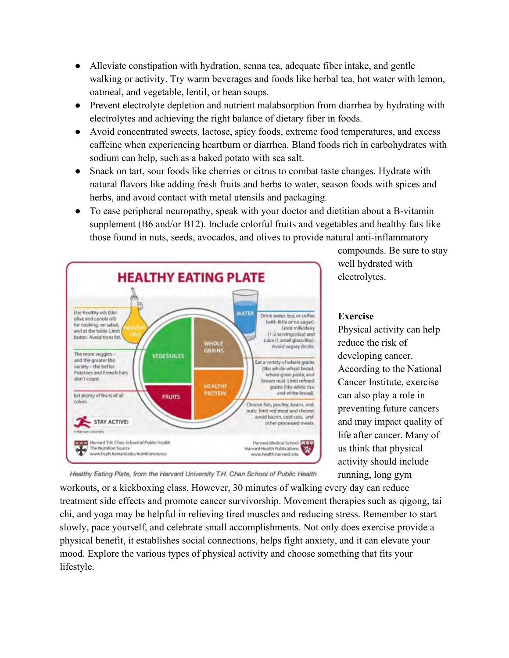- Alleviate constipation with hydration, senna tea, adequate fiber intake, and gentle walking or activity. Try warm beverages and foods like herbal tea, hot water with lemon, oatmeal, and vegetable, lentil, or bean soups.
- Prevent electrolyte depletion and nutrient malabsorption from diarrhea by hydrating with electrolytes and achieving the right balance of dietary fiber in foods.
- Avoid concentrated sweets, lactose, spicy foods, extreme food temperatures, and excess caffeine when experiencing heartburn or diarrhea. Bland foods rich in carbohydrates with sodium can help, such as a baked potato with sea salt.
- Snack on tart, sour foods like cherries or citrus to combat taste changes. Hydrate with natural flavors like adding fresh fruits and herbs to water, season foods with spices and herbs, and avoid contact with metal utensils and packaging.
- To ease peripheral neuropathy, speak with your doctor and dietitian about a B-vitamin supplement (B6 and/or B12). Include colorful fruits and vegetables and healthy fats like those found in nuts, seeds, avocados, and olives to provide natural anti-inflammatory



compounds. Be sure to stay well hydrated with electrolytes.

## **Exercise**

Physical activity can help reduce the risk of developing cancer. According to the National Cancer Institute, exercise can also play a role in preventing future cancers and may impact quality of life after cancer. Many of us think that physical activity should include running, long gym

Healthy Eating Plate, from the Harvard University T.H. Chan School of Public Health

workouts, or a kickboxing class. However, 30 minutes of walking every day can reduce treatment side effects and promote cancer survivorship. Movement therapies such as qigong, tai chi, and yoga may be helpful in relieving tired muscles and reducing stress. Remember to start slowly, pace yourself, and celebrate small accomplishments. Not only does exercise provide a physical benefit, it establishes social connections, helps fight anxiety, and it can elevate your mood. Explore the various types of physical activity and choose something that fits your lifestyle.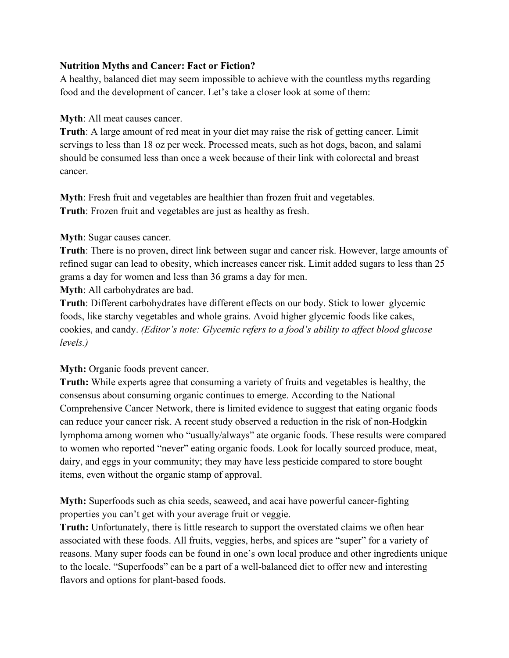## **Nutrition Myths and Cancer: Fact or Fiction?**

A healthy, balanced diet may seem impossible to achieve with the countless myths regarding food and the development of cancer. Let's take a closer look at some of them:

**Myth**: All meat causes cancer.

**Truth**: A large amount of red meat in your diet may raise the risk of getting cancer. Limit servings to less than 18 oz per week. Processed meats, such as hot dogs, bacon, and salami should be consumed less than once a week because of their link with colorectal and breast cancer.

**Myth**: Fresh fruit and vegetables are healthier than frozen fruit and vegetables. **Truth**: Frozen fruit and vegetables are just as healthy as fresh.

#### **Myth**: Sugar causes cancer.

**Truth**: There is no proven, direct link between sugar and cancer risk. However, large amounts of refined sugar can lead to obesity, which increases cancer risk. Limit added sugars to less than 25 grams a day for women and less than 36 grams a day for men.

**Myth**: All carbohydrates are bad.

**Truth**: Different carbohydrates have different effects on our body. Stick to lower glycemic foods, like starchy vegetables and whole grains. Avoid higher glycemic foods like cakes, cookies, and candy. *(Editor's note: Glycemic refers to a food's ability to affect blood glucose levels.)*

**Myth:** Organic foods prevent cancer.

**Truth:** While experts agree that consuming a variety of fruits and vegetables is healthy, the consensus about consuming organic continues to emerge. According to the National Comprehensive Cancer Network, there is limited evidence to suggest that eating organic foods can reduce your cancer risk. A recent study observed a reduction in the risk of non-Hodgkin lymphoma among women who "usually/always" ate organic foods. These results were compared to women who reported "never" eating organic foods. Look for locally sourced produce, meat, dairy, and eggs in your community; they may have less pesticide compared to store bought items, even without the organic stamp of approval.

**Myth:** Superfoods such as chia seeds, seaweed, and acai have powerful cancer-fighting properties you can't get with your average fruit or veggie.

**Truth:** Unfortunately, there is little research to support the overstated claims we often hear associated with these foods. All fruits, veggies, herbs, and spices are "super" for a variety of reasons. Many super foods can be found in one's own local produce and other ingredients unique to the locale. "Superfoods" can be a part of a well-balanced diet to offer new and interesting flavors and options for plant-based foods.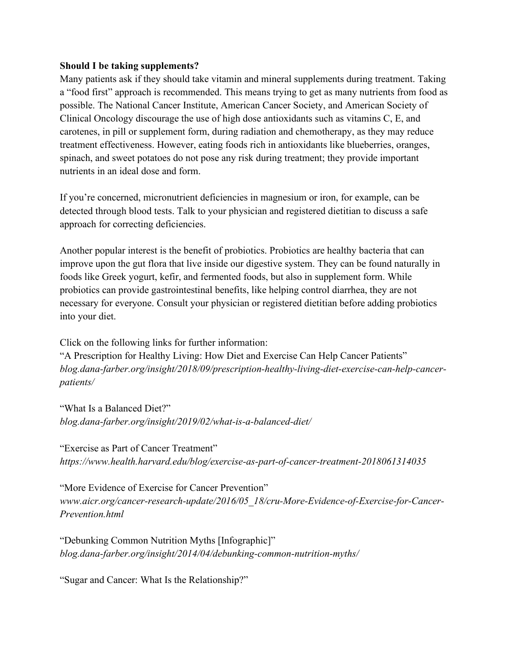#### **Should I be taking supplements?**

Many patients ask if they should take vitamin and mineral supplements during treatment. Taking a "food first" approach is recommended. This means trying to get as many nutrients from food as possible. The National Cancer Institute, American Cancer Society, and American Society of Clinical Oncology discourage the use of high dose antioxidants such as vitamins C, E, and carotenes, in pill or supplement form, during radiation and chemotherapy, as they may reduce treatment effectiveness. However, eating foods rich in antioxidants like blueberries, oranges, spinach, and sweet potatoes do not pose any risk during treatment; they provide important nutrients in an ideal dose and form.

If you're concerned, micronutrient deficiencies in magnesium or iron, for example, can be detected through blood tests. Talk to your physician and registered dietitian to discuss a safe approach for correcting deficiencies.

Another popular interest is the benefit of probiotics. Probiotics are healthy bacteria that can improve upon the gut flora that live inside our digestive system. They can be found naturally in foods like Greek yogurt, kefir, and fermented foods, but also in supplement form. While probiotics can provide gastrointestinal benefits, like helping control diarrhea, they are not necessary for everyone. Consult your physician or registered dietitian before adding probiotics into your diet.

Click on the following links for further information:

"A Prescription for Healthy Living: How Diet and Exercise Can Help Cancer Patients" *blog.dana-farber.org/insight/2018/09/prescription-healthy-living-diet-exercise-can-help-cancerpatients/*

"What Is a Balanced Diet?" *blog.dana-farber.org/insight/2019/02/what-is-a-balanced-diet/*

"Exercise as Part of Cancer Treatment" *https://www.health.harvard.edu/blog/exercise-as-part-of-cancer-treatment-2018061314035*

"More Evidence of Exercise for Cancer Prevention" *[www.aicr.org/cancer-research-update/2016/05\\_18/cru-More-Evidence-of-Exercise-for-Cancer-](http://www.aicr.org/cancer-research-update/2016/05_18/cru-More-Evidence-of-Exercise-for-Cancer-Prevention.html)[Prevention.html](http://www.aicr.org/cancer-research-update/2016/05_18/cru-More-Evidence-of-Exercise-for-Cancer-Prevention.html)*

"Debunking Common Nutrition Myths [Infographic]" *blog.dana-farber.org/insight/2014/04/debunking-common-nutrition-myths/*

"Sugar and Cancer: What Is the Relationship?"